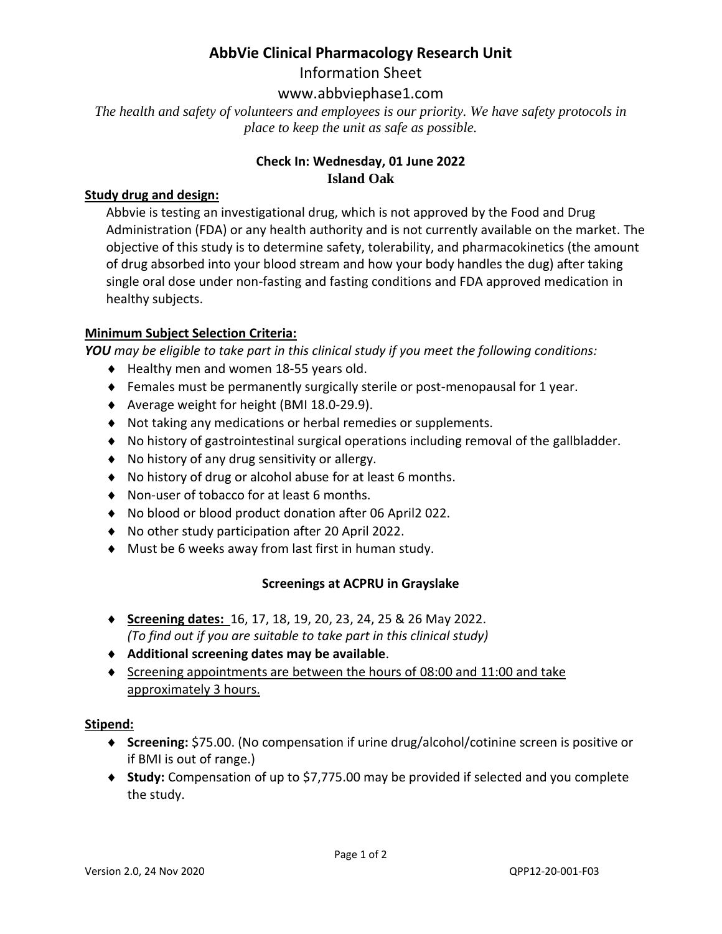## **AbbVie Clinical Pharmacology Research Unit**

Information Sheet

### www.abbviephase1.com

*The health and safety of volunteers and employees is our priority. We have safety protocols in place to keep the unit as safe as possible.*

#### **Check In: Wednesday, 01 June 2022 Island Oak**

#### **Study drug and design:**

Abbvie is testing an investigational drug, which is not approved by the Food and Drug Administration (FDA) or any health authority and is not currently available on the market. The objective of this study is to determine safety, tolerability, and pharmacokinetics (the amount of drug absorbed into your blood stream and how your body handles the dug) after taking single oral dose under non-fasting and fasting conditions and FDA approved medication in healthy subjects.

#### **Minimum Subject Selection Criteria:**

*YOU may be eligible to take part in this clinical study if you meet the following conditions:* 

- ◆ Healthy men and women 18-55 years old.
- Females must be permanently surgically sterile or post-menopausal for 1 year.
- Average weight for height (BMI 18.0-29.9).
- Not taking any medications or herbal remedies or supplements.
- No history of gastrointestinal surgical operations including removal of the gallbladder.
- No history of any drug sensitivity or allergy.
- No history of drug or alcohol abuse for at least 6 months.
- ◆ Non-user of tobacco for at least 6 months.
- ◆ No blood or blood product donation after 06 April2 022.
- No other study participation after 20 April 2022.
- Must be 6 weeks away from last first in human study.

#### **Screenings at ACPRU in Grayslake**

- **Screening dates:** 16, 17, 18, 19, 20, 23, 24, 25 & 26 May 2022. *(To find out if you are suitable to take part in this clinical study)*
- **Additional screening dates may be available**.
- $\bullet$  Screening appointments are between the hours of 08:00 and 11:00 and take approximately 3 hours.

#### **Stipend:**

- **Screening:** \$75.00. (No compensation if urine drug/alcohol/cotinine screen is positive or if BMI is out of range.)
- ◆ Study: Compensation of up to \$7,775.00 may be provided if selected and you complete the study.